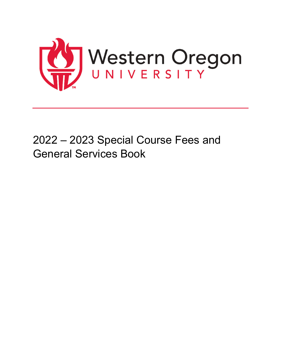

# 2022 – 2023 Special Course Fees and General Services Book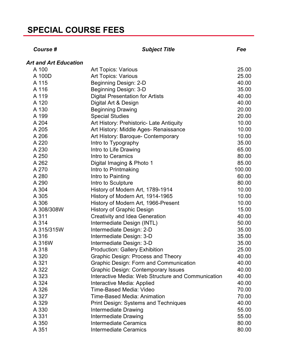| Course #                     | <b>Subject Title</b>                               | Fee    |
|------------------------------|----------------------------------------------------|--------|
| <b>Art and Art Education</b> |                                                    |        |
| A 100                        | Art Topics: Various                                | 25.00  |
| A 100D                       | <b>Art Topics: Various</b>                         | 25.00  |
| A 115                        | Beginning Design: 2-D                              | 40.00  |
| A 116                        | Beginning Design: 3-D                              | 35.00  |
| A 119                        | <b>Digital Presentation for Artists</b>            | 40.00  |
| A 120                        | Digital Art & Design                               | 40.00  |
| A 130                        | <b>Beginning Drawing</b>                           | 20.00  |
| A 199                        | <b>Special Studies</b>                             | 20.00  |
| A 204                        | Art History: Prehistoric- Late Antiquity           | 10.00  |
| A 205                        | Art History: Middle Ages- Renaissance              | 10.00  |
| A 206                        | Art History: Baroque- Contemporary                 | 10.00  |
| A 220                        | Intro to Typography                                | 35.00  |
| A 230                        | Intro to Life Drawing                              | 65.00  |
| A 250                        | Intro to Ceramics                                  | 80.00  |
| A 262                        | Digital Imaging & Photo 1                          | 85.00  |
| A 270                        | Intro to Printmaking                               | 100.00 |
| A 280                        | Intro to Painting                                  | 60.00  |
| A 290                        | Intro to Sculpture                                 | 80.00  |
| A 304                        | History of Modern Art, 1789-1914                   | 10.00  |
| A 305                        | History of Modern Art, 1914-1965                   | 10.00  |
| A 306                        | History of Modern Art, 1966-Present                | 10.00  |
| A 308/308W                   | <b>History of Graphic Design</b>                   | 15.00  |
| A 311                        | <b>Creativity and Idea Generation</b>              | 40.00  |
| A 314                        | Intermediate Design (INTL)                         | 50.00  |
| A 315/315W                   | Intermediate Design: 2-D                           | 35.00  |
| A 316                        | Intermediate Design: 3-D                           | 35.00  |
| A 316W                       | Intermediate Design: 3-D                           | 35.00  |
| A 318                        | <b>Production: Gallery Exhibition</b>              | 25.00  |
| A 320                        | <b>Graphic Design: Process and Theory</b>          | 40.00  |
| A 321                        | <b>Graphic Design: Form and Communication</b>      | 40.00  |
| A 322                        | <b>Graphic Design: Contemporary Issues</b>         | 40.00  |
| A 323                        | Interactive Media: Web Structure and Communication | 40.00  |
| A 324                        | Interactive Media: Applied                         | 40.00  |
| A 326                        | Time-Based Media: Video                            | 70.00  |
| A 327                        | <b>Time-Based Media: Animation</b>                 | 70.00  |
| A 329                        | <b>Print Design: Systems and Techniques</b>        | 40.00  |
| A 330                        | Intermediate Drawing                               | 55.00  |
| A 331                        | Intermediate Drawing                               | 55.00  |
| A 350                        | <b>Intermediate Ceramics</b>                       | 80.00  |
| A 351                        | <b>Intermediate Ceramics</b>                       | 80.00  |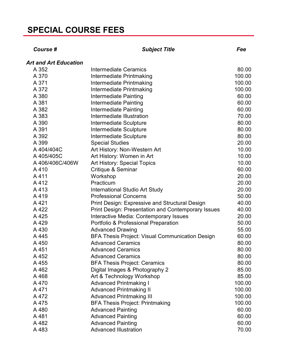| <b>Course #</b>              | <b>Subject Title</b>                                      | Fee    |
|------------------------------|-----------------------------------------------------------|--------|
| <b>Art and Art Education</b> |                                                           |        |
| A 352                        | <b>Intermediate Ceramics</b>                              | 80.00  |
| A 370                        | Intermediate Printmaking                                  | 100.00 |
| A 371                        | Intermediate Printmaking                                  | 100.00 |
| A 372                        | Intermediate Printmaking                                  | 100.00 |
| A 380                        | Intermediate Painting                                     | 60.00  |
| A 381                        | Intermediate Painting                                     | 60.00  |
| A 382                        | Intermediate Painting                                     | 60.00  |
| A 383                        | Intermediate Illustration                                 | 70.00  |
| A 390                        | Intermediate Sculpture                                    | 80.00  |
| A 391                        | Intermediate Sculpture                                    | 80.00  |
| A 392                        | Intermediate Sculpture                                    | 80.00  |
| A 399                        | <b>Special Studies</b>                                    | 20.00  |
| A 404/404C                   | Art History: Non-Western Art                              | 10.00  |
| A 405/405C                   | Art History: Women in Art                                 | 10.00  |
| A 406/406C/406W              | Art History: Special Topics                               | 10.00  |
| A410                         | Critique & Seminar                                        | 60.00  |
| A411                         | Workshop                                                  | 20.00  |
| A412                         | Practicum                                                 | 20.00  |
| A413                         | <b>International Studio Art Study</b>                     | 20.00  |
| A419                         | <b>Professional Concerns</b>                              | 50.00  |
| A 421                        | <b>Print Design: Expressive and Structural Design</b>     | 40.00  |
| A 422                        | <b>Print Design: Presentation and Contemporary Issues</b> | 40.00  |
| A 425                        | Interactive Media: Contemporary Issues                    | 20.00  |
| A 429                        | Portfolio & Professional Preparation                      | 50.00  |
| A 430                        | <b>Advanced Drawing</b>                                   | 55.00  |
| A 445                        | <b>BFA Thesis Project: Visual Communication Design</b>    | 60.00  |
| A 450                        | <b>Advanced Ceramics</b>                                  | 80.00  |
| A 451                        | <b>Advanced Ceramics</b>                                  | 80.00  |
| A 452                        | <b>Advanced Ceramics</b>                                  | 80.00  |
| A 455                        | <b>BFA Thesis Project: Ceramics</b>                       | 80.00  |
| A 462                        | Digital Images & Photography 2                            | 85.00  |
| A 468                        | Art & Technology Workshop                                 | 85.00  |
| A 470                        | <b>Advanced Printmaking I</b>                             | 100.00 |
| A 471                        | <b>Advanced Printmaking II</b>                            | 100.00 |
| A 472                        | <b>Advanced Printmaking III</b>                           | 100.00 |
| A 475                        | <b>BFA Thesis Project: Printmaking</b>                    | 100.00 |
| A 480                        | <b>Advanced Painting</b>                                  | 60.00  |
| A481                         | <b>Advanced Painting</b>                                  | 60.00  |
| A 482                        | <b>Advanced Painting</b>                                  | 60.00  |
| A 483                        | <b>Advanced Illustration</b>                              | 70.00  |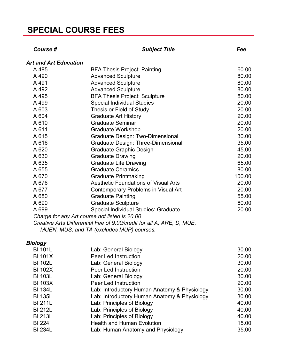| Course #                     | <b>Subject Title</b>                                                  | Fee    |
|------------------------------|-----------------------------------------------------------------------|--------|
| <b>Art and Art Education</b> |                                                                       |        |
| A 485                        | <b>BFA Thesis Project: Painting</b>                                   | 60.00  |
| A 490                        | <b>Advanced Sculpture</b>                                             | 80.00  |
| A 491                        | <b>Advanced Sculpture</b>                                             | 80.00  |
| A 492                        | <b>Advanced Sculpture</b>                                             | 80.00  |
| A 495                        | <b>BFA Thesis Project: Sculpture</b>                                  | 80.00  |
| A 499                        | <b>Special Individual Studies</b>                                     | 20.00  |
| A 603                        | Thesis or Field of Study                                              | 20.00  |
| A 604                        | <b>Graduate Art History</b>                                           | 20.00  |
| A 610                        | <b>Graduate Seminar</b>                                               | 20.00  |
| A 611                        | <b>Graduate Workshop</b>                                              | 20.00  |
| A 615                        | <b>Graduate Design: Two-Dimensional</b>                               | 30.00  |
| A 616                        | Graduate Design: Three-Dimensional                                    | 35.00  |
| A 620                        | <b>Graduate Graphic Design</b>                                        | 45.00  |
| A 630                        | <b>Graduate Drawing</b>                                               | 20.00  |
| A 635                        | <b>Graduate Life Drawing</b>                                          | 65.00  |
| A 655                        | <b>Graduate Ceramics</b>                                              | 80.00  |
| A 670                        | <b>Graduate Printmaking</b>                                           | 100.00 |
| A 676                        | <b>Aesthetic Foundations of Visual Arts</b>                           | 20.00  |
| A 677                        | Contemporary Problems in Visual Art                                   | 20.00  |
| A 680                        | <b>Graduate Painting</b>                                              | 55.00  |
| A 690                        | <b>Graduate Sculpture</b>                                             | 80.00  |
| A 699                        | Special Individual Studies: Graduate                                  | 20.00  |
|                              | Charge for any Art course not listed is 20.00                         |        |
|                              | Creative Arts Differential Fee of 9.00/credit for all A, ARE, D, MUE, |        |
|                              | MUEN, MUS, and TA (excludes MUP) courses.                             |        |
| Biology                      |                                                                       |        |
| <b>BI 101L</b>               | Lab: General Biology                                                  | 30.00  |
| <b>BI 101X</b>               | Peer Led Instruction                                                  | 20.00  |
| <b>BI 102L</b>               | Lab: General Biology                                                  | 30.00  |
| <b>BI 102X</b>               | <b>Peer Led Instruction</b>                                           | 20.00  |
| <b>BI 103L</b>               | Lab: General Biology                                                  | 30.00  |
| <b>BI 103X</b>               | <b>Peer Led Instruction</b>                                           | 20.00  |
| <b>BI 134L</b>               | Lab: Introductory Human Anatomy & Physiology                          | 30.00  |
| <b>BI 135L</b>               | Lab: Introductory Human Anatomy & Physiology                          | 30.00  |
| <b>BI 211L</b>               | Lab: Principles of Biology                                            | 40.00  |
| <b>BI 212L</b>               | Lab: Principles of Biology                                            | 40.00  |

Lab: Principles of Biology 40.00

Health and Human Evolution 15.00

BI 213L Lab: Principles of Biology (and the control of the control of the control of the control of the control of the control of the control of the control of the control of the control of the control of the control of th

BI 234L Lab: Human Anatomy and Physiology 35.00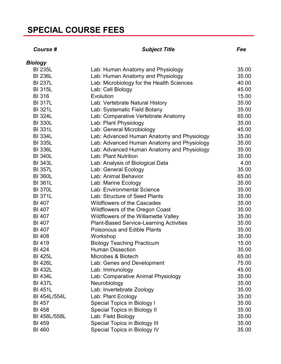#### *Course # Subject Title Fee*

| <b>Biology</b> |                                                |       |
|----------------|------------------------------------------------|-------|
| <b>BI 235L</b> | Lab: Human Anatomy and Physiology              | 35.00 |
| <b>BI 236L</b> | Lab: Human Anatomy and Physiology              | 35.00 |
| <b>BI 237L</b> | Lab: Microbiology for the Health Sciences      | 40.00 |
| <b>BI 315L</b> | Lab: Cell Biology                              | 45.00 |
| <b>BI316</b>   | Evolution                                      | 15.00 |
| <b>BI 317L</b> | Lab: Vertebrate Natural History                | 35.00 |
| <b>BI 321L</b> | Lab: Systematic Field Botany                   | 35.00 |
| <b>BI 324L</b> | Lab: Comparative Vertebrate Anatomy            | 65.00 |
| <b>BI 330L</b> | Lab: Plant Physiology                          | 35.00 |
| <b>BI 331L</b> | Lab: General Microbiology                      | 45.00 |
| <b>BI 334L</b> | Lab: Advanced Human Anatomy and Physiology     | 35.00 |
| <b>BI 335L</b> | Lab: Advanced Human Anatomy and Physiology     | 35.00 |
| <b>BI 336L</b> | Lab: Advanced Human Anatomy and Physiology     | 35.00 |
| <b>BI 340L</b> | Lab: Plant Nutrition                           | 35.00 |
| <b>BI 343L</b> | Lab: Analysis of Biological Data               | 4.00  |
| <b>BI 357L</b> | Lab: General Ecology                           | 35.00 |
| <b>BI 360L</b> | Lab: Animal Behavior                           | 65.00 |
| <b>BI 361L</b> | Lab: Marine Ecology                            | 35.00 |
| <b>BI 370L</b> | Lab: Environmental Science                     | 35.00 |
| <b>BI 371L</b> | Lab: Structure of Seed Plants                  | 35.00 |
| <b>BI 407</b>  | <b>Wildflowers of the Cascades</b>             | 35.00 |
| <b>BI 407</b>  | Wildflowers of the Oregon Coast                | 35.00 |
| <b>BI 407</b>  | Wildflowers of the Willamette Valley           | 35.00 |
| <b>BI 407</b>  | <b>Plant-Based Service-Learning Activities</b> | 35.00 |
| <b>BI 407</b>  | <b>Poisonous and Edible Plants</b>             | 35.00 |
| <b>BI 408</b>  | Workshop                                       | 35.00 |
| <b>BI419</b>   | <b>Biology Teaching Practicum</b>              | 15.00 |
| <b>BI 424</b>  | <b>Human Dissection</b>                        | 35.00 |
| <b>BI 425L</b> | Microbes & Biotech                             | 65.00 |
| <b>BI 426L</b> | Lab: Genes and Development                     | 75.00 |
| <b>BI 432L</b> | Lab: Immunology                                | 45.00 |
| <b>BI 434L</b> | Lab: Comparative Animal Physiology             | 35.00 |
| <b>BI 437L</b> | Neurobiology                                   | 35.00 |
| <b>BI 451L</b> | Lab: Invertebrate Zoology                      | 35.00 |
| BI 454L/554L   | Lab: Plant Ecology                             | 35.00 |
| <b>BI 457</b>  | <b>Special Topics in Biology I</b>             | 35.00 |
| <b>BI 458</b>  | Special Topics in Biology II                   | 35.00 |
| BI 458L/558L   | Lab: Field Biology                             | 35.00 |
| <b>BI 459</b>  | <b>Special Topics in Biology III</b>           | 35.00 |
| <b>BI 460</b>  | Special Topics in Biology IV                   | 35.00 |
|                |                                                |       |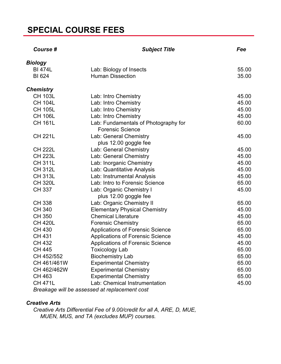| Course #         | <b>Subject Title</b>                                            | Fee   |
|------------------|-----------------------------------------------------------------|-------|
| <b>Biology</b>   |                                                                 |       |
| <b>BI 474L</b>   | Lab: Biology of Insects                                         | 55.00 |
| <b>BI 624</b>    | <b>Human Dissection</b>                                         | 35.00 |
| <b>Chemistry</b> |                                                                 |       |
| <b>CH 103L</b>   | Lab: Intro Chemistry                                            | 45.00 |
| <b>CH 104L</b>   | Lab: Intro Chemistry                                            | 45.00 |
| <b>CH 105L</b>   | Lab: Intro Chemistry                                            | 45.00 |
| <b>CH 106L</b>   | Lab: Intro Chemistry                                            | 45.00 |
| <b>CH 161L</b>   | Lab: Fundamentals of Photography for<br><b>Forensic Science</b> | 60.00 |
| <b>CH 221L</b>   | Lab: General Chemistry                                          | 45.00 |
|                  | plus 12.00 goggle fee                                           |       |
| <b>CH 222L</b>   | Lab: General Chemistry                                          | 45.00 |
| <b>CH 223L</b>   | Lab: General Chemistry                                          | 45.00 |
| <b>CH 311L</b>   | Lab: Inorganic Chemistry                                        | 45.00 |
| <b>CH 312L</b>   | Lab: Quantitative Analysis                                      | 45.00 |
| <b>CH 313L</b>   | Lab: Instrumental Analysis                                      | 45.00 |
| <b>CH 320L</b>   | Lab: Intro to Forensic Science                                  | 65.00 |
| <b>CH 337</b>    | Lab: Organic Chemistry I                                        | 45.00 |
|                  | plus 12.00 goggle fee                                           |       |
| <b>CH 338</b>    | Lab: Organic Chemistry II                                       | 65.00 |
| <b>CH 340</b>    | <b>Elementary Physical Chemistry</b>                            | 45.00 |
| <b>CH 350</b>    | <b>Chemical Literature</b>                                      | 45.00 |
| <b>CH 420L</b>   | <b>Forensic Chemistry</b>                                       | 65.00 |
| <b>CH 430</b>    | <b>Applications of Forensic Science</b>                         | 65.00 |
| <b>CH 431</b>    | <b>Applications of Forensic Science</b>                         | 45.00 |
| <b>CH 432</b>    | Applications of Forensic Science                                | 45.00 |
| <b>CH 445</b>    | Toxicology Lab                                                  | 65.00 |
| CH 452/552       | <b>Biochemistry Lab</b>                                         | 65.00 |
| CH 461/461W      | <b>Experimental Chemistry</b>                                   | 65.00 |
| CH 462/462W      | <b>Experimental Chemistry</b>                                   | 65.00 |
| <b>CH 463</b>    | <b>Experimental Chemistry</b>                                   | 65.00 |
| <b>CH 471L</b>   | Lab: Chemical Instrumentation                                   | 45.00 |
|                  | Breakage will be assessed at replacement cost                   |       |

#### *Creative Arts*

*Creative Arts Differential Fee of 9.00/credit for all A, ARE, D, MUE, MUEN, MUS, and TA (excludes MUP) courses.*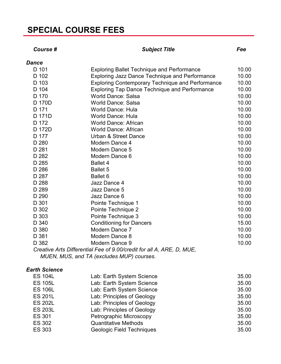#### *Course # Subject Title Fee*

| <b>Dance</b> |                                                                       |       |
|--------------|-----------------------------------------------------------------------|-------|
| D 101        | <b>Exploring Ballet Technique and Performance</b>                     | 10.00 |
| D 102        | <b>Exploring Jazz Dance Technique and Performance</b>                 | 10.00 |
| D 103        | <b>Exploring Contemporary Technique and Performance</b>               | 10.00 |
| D 104        | <b>Exploring Tap Dance Technique and Performance</b>                  | 10.00 |
| D 170        | <b>World Dance: Salsa</b>                                             | 10.00 |
| D 170D       | <b>World Dance: Salsa</b>                                             | 10.00 |
| D 171        | <b>World Dance: Hula</b>                                              | 10.00 |
| D 171D       | <b>World Dance: Hula</b>                                              | 10.00 |
| D 172        | <b>World Dance: African</b>                                           | 10.00 |
| D 172D       | <b>World Dance: African</b>                                           | 10.00 |
| D 177        | <b>Urban &amp; Street Dance</b>                                       | 10.00 |
| D 280        | Modern Dance 4                                                        | 10.00 |
| D 281        | Modern Dance 5                                                        | 10.00 |
| D 282        | Modern Dance 6                                                        | 10.00 |
| D 285        | <b>Ballet 4</b>                                                       | 10.00 |
| D 286        | <b>Ballet 5</b>                                                       | 10.00 |
| D 287        | Ballet 6                                                              | 10.00 |
| D 288        | Jazz Dance 4                                                          | 10.00 |
| D 289        | Jazz Dance 5                                                          | 10.00 |
| D 290        | Jazz Dance 6                                                          | 10.00 |
| D 301        | Pointe Technique 1                                                    | 10.00 |
| D 302        | Pointe Technique 2                                                    | 10.00 |
| D 303        | Pointe Technique 3                                                    | 10.00 |
| D 340        | <b>Conditioning for Dancers</b>                                       | 15.00 |
| D 380        | Modern Dance 7                                                        | 10.00 |
| D 381        | Modern Dance 8                                                        | 10.00 |
| D 382        | Modern Dance 9                                                        | 10.00 |
|              | Creative Arts Differential Fee of 9.00/credit for all A, ARE, D, MUE, |       |

*MUEN, MUS, and TA (excludes MUP) courses.*

#### *Earth Science*

| <b>ES 104L</b> | Lab: Earth System Science   | 35.00 |
|----------------|-----------------------------|-------|
| <b>ES 105L</b> | Lab: Earth System Science   | 35.00 |
| <b>ES 106L</b> | Lab: Earth System Science   | 35.00 |
| <b>ES 201L</b> | Lab: Principles of Geology  | 35.00 |
| <b>ES 202L</b> | Lab: Principles of Geology  | 35.00 |
| <b>ES 203L</b> | Lab: Principles of Geology  | 35.00 |
| <b>ES 301</b>  | Petrographic Microscopy     | 35.00 |
| <b>ES 302</b>  | <b>Quantitative Methods</b> | 35.00 |
| <b>ES 303</b>  | Geologic Field Techniques   | 35.00 |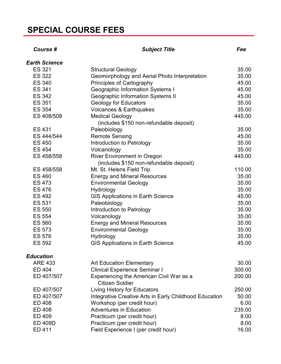| <b>Course #</b>      | <b>Subject Title</b>                                               | Fee    |
|----------------------|--------------------------------------------------------------------|--------|
| <b>Earth Science</b> |                                                                    |        |
| <b>ES 321</b>        | <b>Structural Geology</b>                                          | 35.00  |
| <b>ES 322</b>        | Geomorphology and Aerial Photo Interpretation                      | 35.00  |
| <b>ES 340</b>        | Principles of Cartography                                          | 45.00  |
| <b>ES 341</b>        | <b>Geographic Information Systems I</b>                            | 45.00  |
| <b>ES 342</b>        | <b>Geographic Information Systems II</b>                           | 45.00  |
| <b>ES 351</b>        | <b>Geology for Educators</b>                                       | 35.00  |
| <b>ES 354</b>        | Volcanoes & Earthquakes                                            | 35.00  |
| ES 408/508           | <b>Medical Geology</b>                                             | 445.00 |
|                      | (includes \$150 non-refundable deposit)                            |        |
| <b>ES 431</b>        | Paleobiology                                                       | 35.00  |
| ES 444/544           | <b>Remote Sensing</b>                                              | 45.00  |
| <b>ES 450</b>        | Introduction to Petrology                                          | 35.00  |
| <b>ES 454</b>        | Volcanology                                                        | 35.00  |
| ES 458/558           | <b>River Environment in Oregon</b>                                 | 445.00 |
|                      | (includes \$150 non-refundable deposit)                            |        |
| ES 458/558           | Mt. St. Helens Field Trip                                          | 110.00 |
| <b>ES 460</b>        | <b>Energy and Mineral Resources</b>                                | 35.00  |
| <b>ES 473</b>        | <b>Environmental Geology</b>                                       | 35.00  |
| <b>ES 476</b>        | Hydrology                                                          | 35.00  |
| <b>ES 492</b>        | <b>GIS Applications in Earth Science</b>                           | 45.00  |
| <b>ES 531</b>        | Paleobiology                                                       | 35.00  |
| <b>ES 550</b>        | Introduction to Petrology                                          | 35.00  |
| <b>ES 554</b>        | Volcanology                                                        | 35.00  |
| <b>ES 560</b>        | <b>Energy and Mineral Resources</b>                                | 35.00  |
| <b>ES 573</b>        | <b>Environmental Geology</b>                                       | 35.00  |
| <b>ES 576</b>        | Hydrology                                                          | 35.00  |
| <b>ES 592</b>        | <b>GIS Applications in Earth Science</b>                           | 45.00  |
| <b>Education</b>     |                                                                    |        |
| <b>ARE 433</b>       | <b>Art Education Elementary</b>                                    | 30.00  |
| ED 404               | <b>Clinical Experience Seminar I</b>                               | 300.00 |
| ED 407/507           | Experiencing the American Civil War as a<br><b>Citizen Soldier</b> | 200.00 |
| ED 407/507           | Living History for Educators                                       | 250.00 |
| ED 407/507           | Integrative Creative Arts in Early Childhood Education             | 50.00  |
| ED 408               | Workshop (per credit hour)                                         | 6.00   |
| <b>ED 408</b>        | <b>Adventures in Education</b>                                     | 235.00 |
| ED 409               | Practicum (per credit hour)                                        | 8.00   |
| <b>ED 409D</b>       | Practicum (per credit hour)                                        | 8.00   |
| ED 411               | Field Experience I (per credit hour)                               | 16.00  |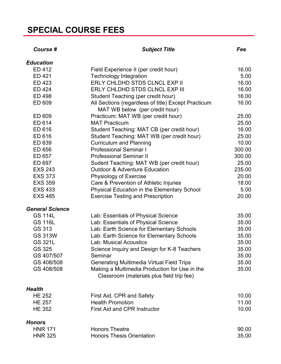| Course #               | <b>Subject Title</b>                                                                       | Fee    |
|------------------------|--------------------------------------------------------------------------------------------|--------|
| <b>Education</b>       |                                                                                            |        |
| ED 412                 | Field Experience II (per credit hour)                                                      | 16.00  |
| ED 421                 | <b>Technology Integration</b>                                                              | 5.00   |
| ED 423                 | ERLY CHLDHD STDS CLNCL EXP II                                                              | 16.00  |
| ED 424                 | ERLY CHLDHD STDS CLNCL EXP III                                                             | 16.00  |
| <b>ED 498</b>          | Student Teaching (per credit hour)                                                         | 16.00  |
| ED 609                 | All Sections (regardless of title) Except Practicum<br>MAT WB below (per credit hour)      | 16.00  |
| ED 609                 | Practicum: MAT WB (per credit hour)                                                        | 25.00  |
| ED 614                 | <b>MAT Practicum</b>                                                                       | 25.00  |
| ED 616                 | Student Teaching: MAT CB (per credit hour)                                                 | 16.00  |
| ED 616                 | Student Teaching: MAT WB (per credit hour)                                                 | 25.00  |
| ED 639                 | <b>Curriculum and Planning</b>                                                             | 10.00  |
| ED 656                 | <b>Professional Seminar I</b>                                                              | 300.00 |
| ED 657                 | <b>Professional Seminar II</b>                                                             | 300.00 |
| ED 697                 | Sudent Teaching: MAT WB (per credit hour)                                                  | 25.00  |
| <b>EXS 243</b>         | <b>Outdoor &amp; Adventure Education</b>                                                   | 235.00 |
| <b>EXS 373</b>         | Physiology of Exercise                                                                     | 20.00  |
| <b>EXS 359</b>         | Care & Prevention of Athletic Injuries                                                     | 18.00  |
| <b>EXS 433</b>         | <b>Physical Education in the Elementary School</b>                                         | 5.00   |
| <b>EXS 485</b>         | <b>Exercise Testing and Prescription</b>                                                   | 20.00  |
| <b>General Science</b> |                                                                                            |        |
| <b>GS 114L</b>         | Lab: Essentials of Physical Science                                                        | 35.00  |
| <b>GS 116L</b>         | Lab: Essentials of Physical Science                                                        | 35.00  |
| GS 313                 | Lab: Earth Science for Elementary Schools                                                  | 35.00  |
| <b>GS 313W</b>         | Lab: Earth Science for Elementary Schools                                                  | 35.00  |
| <b>GS 321L</b>         | <b>Lab: Musical Acoustics</b>                                                              | 35.00  |
| GS 325                 | Science Inquiry and Design for K-8 Teachers                                                | 35.00  |
| GS 407/507             | Seminar                                                                                    | 35.00  |
| GS 408/508             | <b>Generating Multimedia Virtual Field Trips</b>                                           | 35.00  |
| GS 408/508             | Making a Multimedia Production for Use in the<br>Classroom (materials plus field trip fee) | 35.00  |
| <b>Health</b>          |                                                                                            |        |
| <b>HE 252</b>          | First Aid, CPR and Safety                                                                  | 10.00  |
| <b>HE 257</b>          | <b>Health Promotion</b>                                                                    | 11.00  |
| <b>HE 352</b>          | <b>First Aid and CPR Instructor</b>                                                        | 10.00  |
| <b>Honors</b>          |                                                                                            |        |
| <b>HNR 171</b>         | <b>Honors Theatre</b>                                                                      | 90.00  |
| <b>HNR 325</b>         | <b>Honors Thesis Orientation</b>                                                           | 35.00  |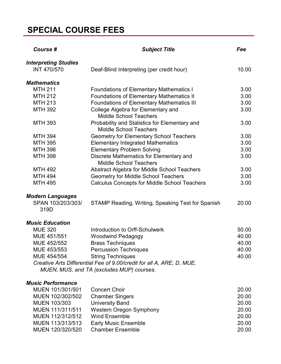| Course #                                          | <b>Subject Title</b>                                                                                               | Fee            |
|---------------------------------------------------|--------------------------------------------------------------------------------------------------------------------|----------------|
| <b>Interpreting Studies</b><br><b>INT 470/570</b> | Deaf-Blind Interpreting (per credit hour)                                                                          | 10.00          |
| <b>Mathematics</b>                                |                                                                                                                    |                |
| <b>MTH 211</b>                                    | <b>Foundations of Elementary Mathematics I</b>                                                                     | 3.00           |
| <b>MTH 212</b>                                    | <b>Foundations of Elementary Mathematics II</b>                                                                    | 3.00           |
| <b>MTH 213</b>                                    | <b>Foundations of Elementary Mathematics III</b>                                                                   | 3.00           |
| <b>MTH 392</b>                                    | College Algebra for Elementary and<br><b>Middle School Teachers</b>                                                | 3.00           |
| <b>MTH 393</b>                                    | Probability and Statistics for Elementary and<br><b>Middle School Teachers</b>                                     | 3.00           |
| <b>MTH 394</b>                                    | <b>Geometry for Elementary School Teachers</b>                                                                     | 3.00           |
| <b>MTH 395</b>                                    | <b>Elementary Integrated Mathematics</b>                                                                           | 3.00           |
| <b>MTH 396</b>                                    | <b>Elementary Problem Solving</b>                                                                                  | 3.00           |
| <b>MTH 398</b>                                    | Discrete Mathematics for Elementary and<br><b>Middle School Teachers</b>                                           | 3.00           |
| <b>MTH 492</b>                                    | Abstract Algebra for Middle School Teachers                                                                        | 3.00           |
| <b>MTH 494</b>                                    | <b>Geometry for Middle School Teachers</b>                                                                         | 3.00           |
| <b>MTH 495</b>                                    | <b>Calculus Concepts for Middle School Teachers</b>                                                                | 3.00           |
| <b>Modern Languages</b>                           |                                                                                                                    |                |
| SPAN 103/203/303/<br>319D                         | STAMP Reading, Writing, Speaking Test for Spanish                                                                  | 20.00          |
| <b>Music Education</b>                            |                                                                                                                    |                |
| <b>MUE 320</b>                                    | Introduction to Orff-Schulwerk                                                                                     | 50.00          |
| MUE 451/551                                       | <b>Woodwind Pedagogy</b>                                                                                           | 40.00          |
| MUE 452/552                                       | <b>Brass Techniques</b>                                                                                            | 40.00          |
| MUE 453/553                                       | <b>Percussion Techniques</b>                                                                                       | 40.00          |
| MUE 454/554                                       | <b>String Techniques</b>                                                                                           | 40.00          |
|                                                   | Creative Arts Differential Fee of 9.00/credit for all A, ARE, D, MUE,<br>MUEN, MUS, and TA (excludes MUP) courses. |                |
|                                                   |                                                                                                                    |                |
| <b>Music Performance</b><br>MUEN 101/301/501      | <b>Concert Choir</b>                                                                                               |                |
| MUEN 102/302/502                                  | <b>Chamber Singers</b>                                                                                             | 20.00<br>20.00 |
| <b>MUEN 103/303</b>                               | <b>University Band</b>                                                                                             | 20.00          |
| MUEN 111/311/511                                  | Western Oregon Symphony                                                                                            | 20.00          |
| MUEN 112/312/512                                  | <b>Wind Ensemble</b>                                                                                               | 20.00          |
| MUEN 113/313/513                                  | <b>Early Music Ensemble</b>                                                                                        | 20.00          |
| MUEN 120/320/520                                  | <b>Chamber Ensemble</b>                                                                                            | 20.00          |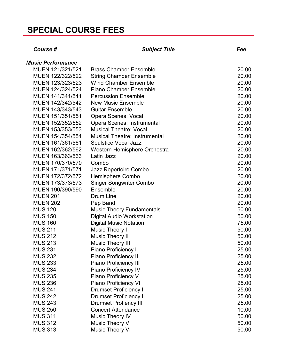| Course #                 | <b>Subject Title</b>                 | Fee   |
|--------------------------|--------------------------------------|-------|
| <b>Music Performance</b> |                                      |       |
| MUEN 121/321/521         | <b>Brass Chamber Ensemble</b>        | 20.00 |
| MUEN 122/322/522         | <b>String Chamber Ensemble</b>       | 20.00 |
| MUEN 123/323/523         | <b>Wind Chamber Ensemble</b>         | 20.00 |
| MUEN 124/324/524         | <b>Piano Chamber Ensemble</b>        | 20.00 |
| MUEN 141/341/541         | <b>Percussion Ensemble</b>           | 20.00 |
| MUEN 142/342/542         | <b>New Music Ensemble</b>            | 20.00 |
| MUEN 143/343/543         | <b>Guitar Ensemble</b>               | 20.00 |
| MUEN 151/351/551         | <b>Opera Scenes: Vocal</b>           | 20.00 |
| MUEN 152/352/552         | Opera Scenes: Instrumental           | 20.00 |
| MUEN 153/353/553         | <b>Musical Theatre: Vocal</b>        | 20.00 |
| MUEN 154/354/554         | <b>Musical Theatre: Instrumental</b> | 20.00 |
| MUEN 161/361/561         | <b>Soulstice Vocal Jazz</b>          | 20.00 |
| MUEN 162/362/562         | Western Hemisphere Orchestra         | 20.00 |
| MUEN 163/363/563         | Latin Jazz                           | 20.00 |
| MUEN 170/370/570         | Combo                                | 20.00 |
| MUEN 171/371/571         | Jazz Repertoire Combo                | 20.00 |
| MUEN 172/372/572         | <b>Hemisphere Combo</b>              | 20.00 |
| MUEN 173/373/573         | <b>Singer Songwriter Combo</b>       | 20.00 |
| MUEN 190/390/590         | Ensemble                             | 20.00 |
| <b>MUEN 201</b>          | <b>Drum Line</b>                     | 20.00 |
| <b>MUEN 202</b>          | Pep Band                             | 20.00 |
| <b>MUS 120</b>           | <b>Music Theory Fundamentals</b>     | 50.00 |
| <b>MUS 150</b>           | <b>Digital Audio Workstation</b>     | 50.00 |
| <b>MUS 160</b>           | <b>Digital Music Notation</b>        | 75.00 |
| <b>MUS 211</b>           | Music Theory I                       | 50.00 |
| <b>MUS 212</b>           | <b>Music Theory II</b>               | 50.00 |
| <b>MUS 213</b>           | <b>Music Theory III</b>              | 50.00 |
| <b>MUS 231</b>           | <b>Piano Proficiency I</b>           | 25.00 |
| <b>MUS 232</b>           | Piano Proficiency II                 | 25.00 |
| <b>MUS 233</b>           | <b>Piano Proficiency III</b>         | 25.00 |
| <b>MUS 234</b>           | Piano Proficiency IV                 | 25.00 |
| <b>MUS 235</b>           | Piano Proficiency V                  | 25.00 |
| <b>MUS 236</b>           | <b>Piano Proficiency VI</b>          | 25.00 |
| <b>MUS 241</b>           | <b>Drumset Proficiency I</b>         | 25.00 |
| <b>MUS 242</b>           | <b>Drumset Proficiency II</b>        | 25.00 |
| <b>MUS 243</b>           | <b>Drumset Profiency III</b>         | 25.00 |
| <b>MUS 250</b>           | <b>Concert Attendance</b>            | 10.00 |
| <b>MUS 311</b>           | <b>Music Theory IV</b>               | 50.00 |
| <b>MUS 312</b>           | Music Theory V                       | 50.00 |
| <b>MUS 313</b>           | <b>Music Theory VI</b>               | 50.00 |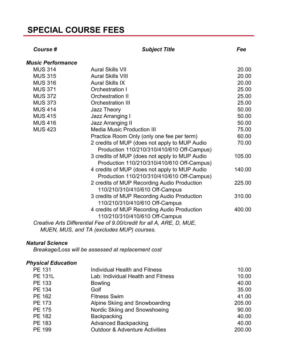| Course #                 | <b>Subject Title</b>                                                  | Fee    |
|--------------------------|-----------------------------------------------------------------------|--------|
| <b>Music Performance</b> |                                                                       |        |
| <b>MUS 314</b>           | <b>Aural Skills VII</b>                                               | 20.00  |
| <b>MUS 315</b>           | <b>Aural Skills VIII</b>                                              | 20.00  |
| <b>MUS 316</b>           | <b>Aural Skills IX</b>                                                | 20.00  |
| <b>MUS 371</b>           | Orchestration I                                                       | 25.00  |
| <b>MUS 372</b>           | <b>Orchestration II</b>                                               | 25.00  |
| <b>MUS 373</b>           | <b>Orchestration III</b>                                              | 25.00  |
| <b>MUS 414</b>           | Jazz Theory                                                           | 50.00  |
| <b>MUS 415</b>           | <b>Jazz Arranging I</b>                                               | 50.00  |
| <b>MUS 416</b>           | <b>Jazz Arranging II</b>                                              | 50.00  |
| <b>MUS 423</b>           | <b>Media Music Production III</b>                                     | 75.00  |
|                          | Practice Room Only (only one fee per term)                            | 60.00  |
|                          | 2 credits of MUP (does not apply to MUP Audio                         | 70.00  |
|                          | Production 110/210/310/410/610 Off-Campus)                            |        |
|                          | 3 credits of MUP (does not apply to MUP Audio                         | 105.00 |
|                          | Production 110/210/310/410/610 Off-Campus)                            |        |
|                          | 4 credits of MUP (does not apply to MUP Audio                         | 140.00 |
|                          | Production 110/210/310/410/610 Off-Campus)                            |        |
|                          | 2 credits of MUP Recording Audio Production                           | 225.00 |
|                          | 110/210/310/410/610 Off-Campus                                        |        |
|                          | 3 credits of MUP Recording Audio Production                           | 310.00 |
|                          | 110/210/310/410/610 Off-Campus                                        |        |
|                          | 4 credits of MUP Recording Audio Production                           | 400.00 |
|                          | 110/210/310/410/610 Off-Campus                                        |        |
|                          | Creative Arts Differential Fee of 9.00/credit for all A, ARE, D, MUE, |        |
|                          | MUEN, MUS, and TA (excludes MUP) courses.                             |        |

#### *Natural Science*

*Breakage/Loss will be assessed at replacement cost*

#### *Physical Education*

| <b>PE 131</b>  | <b>Individual Health and Fitness</b>      | 10.00  |
|----------------|-------------------------------------------|--------|
| <b>PE 131L</b> | Lab: Individual Health and Fitness        | 10.00  |
| <b>PE 133</b>  | <b>Bowling</b>                            | 40.00  |
| PE 134         | Golf                                      | 35.00  |
| PE 162         | <b>Fitness Swim</b>                       | 41.00  |
| <b>PE 173</b>  | Alpine Skiing and Snowboarding            | 205.00 |
| <b>PE 175</b>  | Nordic Skiing and Snowshoeing             | 90.00  |
| <b>PE 182</b>  | <b>Backpacking</b>                        | 40.00  |
| <b>PE 183</b>  | <b>Advanced Backpacking</b>               | 40.00  |
| PE 199         | <b>Outdoor &amp; Adventure Activities</b> | 200.00 |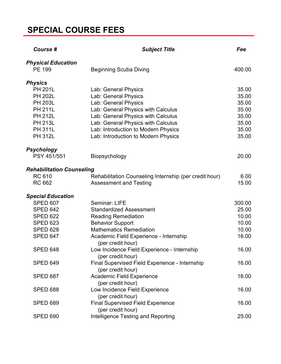| Course #                            | <b>Subject Title</b>                                                | Fee    |
|-------------------------------------|---------------------------------------------------------------------|--------|
| <b>Physical Education</b><br>PE 199 | <b>Beginning Scuba Diving</b>                                       | 400.00 |
| <b>Physics</b>                      |                                                                     |        |
| <b>PH 201L</b>                      | Lab: General Physics                                                | 35.00  |
| <b>PH 202L</b>                      | Lab: General Physics                                                | 35.00  |
| <b>PH 203L</b>                      | Lab: General Physics                                                | 35.00  |
| <b>PH 211L</b>                      | Lab: General Physics with Calculus                                  | 35.00  |
| <b>PH 212L</b>                      | Lab: General Physics with Calculus                                  | 35.00  |
| <b>PH 213L</b>                      | Lab: General Physics with Calculus                                  | 35.00  |
| <b>PH 311L</b>                      | Lab: Introduction to Modern Physics                                 | 35.00  |
| <b>PH 312L</b>                      | Lab: Introduction to Modern Physics                                 | 35.00  |
| <b>Psychology</b>                   |                                                                     |        |
| PSY 451/551                         | Biopsychology                                                       | 20.00  |
| <b>Rehabilitation Counseling</b>    |                                                                     |        |
| <b>RC 610</b>                       | Rehabilitation Counseling Internship (per credit hour)              | 6.00   |
| <b>RC 662</b>                       | <b>Assessment and Testing</b>                                       | 15.00  |
| <b>Special Education</b>            |                                                                     |        |
| <b>SPED 607</b>                     | Seminar: LIFE                                                       | 300.00 |
| <b>SPED 642</b>                     | <b>Standardized Assessment</b>                                      | 25.00  |
| <b>SPED 622</b>                     | <b>Reading Remediation</b>                                          | 10.00  |
| <b>SPED 623</b>                     | <b>Behavior Support</b>                                             | 10.00  |
| <b>SPED 628</b>                     | <b>Mathematics Remediation</b>                                      | 10.00  |
| <b>SPED 647</b>                     | Academic Field Experience - Internship<br>(per credit hour)         | 16.00  |
| <b>SPED 648</b>                     | Low Incidence Field Experience - Internship<br>(per credit hour)    | 16.00  |
| <b>SPED 649</b>                     | Final Supervised Field Experience - Internship<br>(per credit hour) | 16.00  |
| SPED 687                            | <b>Academic Field Experience</b><br>(per credit hour)               | 16.00  |
| <b>SPED 688</b>                     | Low Incidence Field Experience                                      | 16.00  |
| <b>SPED 689</b>                     | (per credit hour)<br><b>Final Supervised Field Experience</b>       | 16.00  |
| <b>SPED 690</b>                     | (per credit hour)<br><b>Intelligence Testing and Reporting</b>      | 25.00  |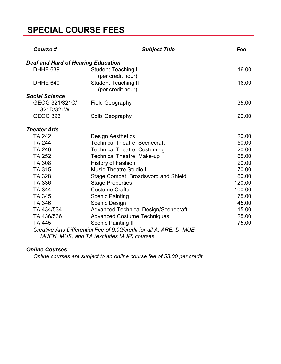| Course #                                  | <b>Subject Title</b>                                                                                               | Fee    |
|-------------------------------------------|--------------------------------------------------------------------------------------------------------------------|--------|
| <b>Deaf and Hard of Hearing Education</b> |                                                                                                                    |        |
| DHHE 639                                  | <b>Student Teaching I</b><br>(per credit hour)                                                                     | 16.00  |
| DHHE 640                                  | <b>Student Teaching II</b><br>(per credit hour)                                                                    | 16.00  |
| <b>Social Science</b>                     |                                                                                                                    |        |
| GEOG 321/321C/<br>321D/321W               | <b>Field Geography</b>                                                                                             | 35.00  |
| <b>GEOG 393</b>                           | Soils Geography                                                                                                    | 20.00  |
| <b>Theater Arts</b>                       |                                                                                                                    |        |
| <b>TA 242</b>                             | <b>Design Aesthetics</b>                                                                                           | 20.00  |
| <b>TA 244</b>                             | <b>Technical Theatre: Scenecraft</b>                                                                               | 50.00  |
| <b>TA 246</b>                             | <b>Technical Theatre: Costuming</b>                                                                                | 20.00  |
| <b>TA 252</b>                             | <b>Technical Theatre: Make-up</b>                                                                                  | 65.00  |
| <b>TA 308</b>                             | <b>History of Fashion</b>                                                                                          | 20.00  |
| <b>TA 315</b>                             | <b>Music Theatre Studio I</b>                                                                                      | 70.00  |
| <b>TA 328</b>                             | <b>Stage Combat: Broadsword and Shield</b>                                                                         | 60.00  |
| TA 336                                    | <b>Stage Properties</b>                                                                                            | 120.00 |
| <b>TA 344</b>                             | <b>Costume Crafts</b>                                                                                              | 100.00 |
| <b>TA 345</b>                             | <b>Scenic Painting</b>                                                                                             | 75.00  |
| TA 346                                    | Scenic Design                                                                                                      | 45.00  |
| TA 434/534                                | <b>Advanced Technical Design/Scenecraft</b>                                                                        | 15.00  |
| TA 436/536                                | <b>Advanced Costume Techniques</b>                                                                                 | 25.00  |
| <b>TA 445</b>                             | <b>Scenic Painting II</b>                                                                                          | 75.00  |
|                                           | Creative Arts Differential Fee of 9.00/credit for all A, ARE, D, MUE,<br>MUEN, MUS, and TA (excludes MUP) courses. |        |

#### *Online Courses*

*Online courses are subject to an online course fee of 53.00 per credit.*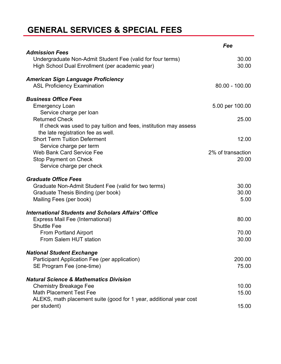### **GENERAL SERVICES & SPECIAL FEES**

|                                                                                                                                        | Fee                        |
|----------------------------------------------------------------------------------------------------------------------------------------|----------------------------|
| <b>Admission Fees</b><br>Undergraduate Non-Admit Student Fee (valid for four terms)<br>High School Dual Enrollment (per academic year) | 30.00<br>30.00             |
| <b>American Sign Language Proficiency</b>                                                                                              |                            |
| <b>ASL Proficiency Examination</b>                                                                                                     | 80.00 - 100.00             |
| <b>Business Office Fees</b>                                                                                                            |                            |
| <b>Emergency Loan</b>                                                                                                                  | 5.00 per 100.00            |
| Service charge per loan<br><b>Returned Check</b>                                                                                       | 25.00                      |
| If check was used to pay tuition and fees, institution may assess<br>the late registration fee as well.                                |                            |
| <b>Short Term Tuition Deferment</b>                                                                                                    | 12.00                      |
| Service charge per term                                                                                                                |                            |
| <b>Web Bank Card Service Fee</b><br><b>Stop Payment on Check</b>                                                                       | 2% of transaction<br>20.00 |
| Service charge per check                                                                                                               |                            |
| <b>Graduate Office Fees</b>                                                                                                            |                            |
| Graduate Non-Admit Student Fee (valid for two terms)                                                                                   | 30.00                      |
| Graduate Thesis Binding (per book)                                                                                                     | 30.00                      |
| Mailing Fees (per book)                                                                                                                | 5.00                       |
| <b>International Students and Scholars Affairs' Office</b>                                                                             |                            |
| <b>Express Mail Fee (International)</b>                                                                                                | 80.00                      |
| <b>Shuttle Fee</b><br><b>From Portland Airport</b>                                                                                     | 70.00                      |
| From Salem HUT station                                                                                                                 | 30.00                      |
| <b>National Student Exchange</b>                                                                                                       |                            |
| Participant Application Fee (per application)                                                                                          | 200.00                     |
| SE Program Fee (one-time)                                                                                                              | 75.00                      |
| <b>Natural Science &amp; Mathematics Division</b>                                                                                      |                            |
| <b>Chemistry Breakage Fee</b>                                                                                                          | 10.00                      |
| <b>Math Placement Test Fee</b>                                                                                                         | 15.00                      |
| ALEKS, math placement suite (good for 1 year, additional year cost                                                                     |                            |
| per student)                                                                                                                           | 15.00                      |